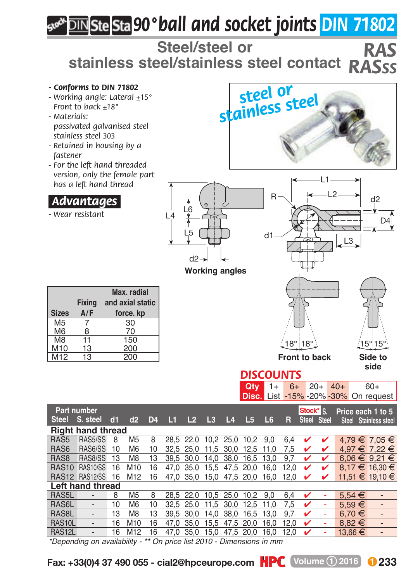## *90°ball and socket joints DIN 71802*

**Steel/steel or stainless steel/stainless steel contact** *RAS RASSS*

*- Conforms to DIN 71802 - Working angle: Lateral ±15° Front to back ±18° - Materials: passivated galvanised steel stainless steel 303 - Retained in housing by a fastener - For the left hand threaded version, only the female part has a left hand thread* .*Advantages*. *- Wear resistant* **Max. radial Fixing and axial static Sizes**  $A/F$  **force. kp**<br>M5 7 30 M5 7 30 M6 8 70<br>M8 11 150  $\frac{11}{13}$  150 M<sub>10</sub> 13 200 M12 13 200 18° 18° 15° 15° **Side to side Front to back**  $\overline{c}$ D4  $L^2 \rightarrow$  d<sub>2</sub> L1 R d2 L5 L4 L6<br>L4 L **Working angles** *DISCOUNTS* **Qty** 1+ 6+ 20+ 40+ 60+<br>**Disc.** List -15% -20% -30% On regu d1 *steel or stainless steel*

| <b>Part number</b>       |                              |    |                 |                |                                          |                |       |      |      |      | Stock* S |              | Price each 1 to 5 |              |                          |
|--------------------------|------------------------------|----|-----------------|----------------|------------------------------------------|----------------|-------|------|------|------|----------|--------------|-------------------|--------------|--------------------------|
| <b>Steel</b>             | S. steel                     | d1 | d2              | D <sub>4</sub> | ш                                        | L <sub>2</sub> | $L_3$ | 14   | L5   | L6   | R        | <b>Steel</b> | <b>Steel</b>      | <b>Steel</b> | <b>Stainless steel</b>   |
| <b>Right hand thread</b> |                              |    |                 |                |                                          |                |       |      |      |      |          |              |                   |              |                          |
| RAS <sub>5</sub>         | RAS5/SS                      | 8  | M <sub>5</sub>  | 8              |                                          | 28.5 22.0      | 10.2  | 25.0 | 10.2 | 9.0  | 6.4      |              |                   |              | 4.79 € 7.05 €            |
| RAS6                     | RAS6/SS                      | 10 | M <sub>6</sub>  | 10             | 32.5                                     | 25.0           | 11.5  | 30.0 | 12.5 | 11.0 | 7.5      | v            |                   |              | 4.97 € 7.22 €            |
| RAS <sub>8</sub>         | RAS8/SS                      | 13 | M8              | 13             | 39.5                                     | 30.0           | 14.0  | 38.0 | 16.5 | 13.0 | 9.7      | ✔            | ✔                 |              | 6.06 € 9.21 €            |
| <b>RAS10</b>             | RAS10/SS                     | 16 | M <sub>10</sub> | 16             | 47.0                                     | 35.0           | 15.5  | 47.5 | 20.0 | 16.0 | 12.0     | v            | ✔                 |              | 8.17 € 16.30 €           |
| RAS <sub>12</sub>        | <b>RAS12/SS</b>              | 16 | M <sub>12</sub> | 16             | 47.0                                     | 35.0           | 15.0  | 47.5 | 20.0 | 16.0 | 12.0     |              |                   |              | 11.51 € 19.10 €          |
| Left hand thread         |                              |    |                 |                |                                          |                |       |      |      |      |          |              |                   |              |                          |
| RAS <sub>5</sub> L       |                              | 8  | M <sub>5</sub>  | 8              | 28.5                                     | 22.0           | 10.5  | 25.0 | 10.2 | 9.0  | 6.4      |              |                   | $5.54 \in$   | $\overline{\phantom{0}}$ |
| RAS6L                    |                              | 10 | M <sub>6</sub>  | 10             |                                          | 32.5 25.0      | 11.5  | 30.0 | 12.5 | 11.0 | 7.5      | ✔            |                   | $5.59 \in$   | $\overline{\phantom{0}}$ |
| RAS <sub>8L</sub>        |                              | 13 | M <sub>8</sub>  | 13             |                                          | 39.5 30.0      | 14.0  | 38.0 | 16.5 | 13.0 | 9.7      | ✓            |                   | 6.70 €       |                          |
| RAS <sub>10</sub> L      |                              | 16 | M <sub>10</sub> | 16             | 47.0                                     | 35.0           | 15.5  | 47.5 | 20.0 | 16.0 | 12.0     | ✔            |                   | $8.82 \in$   | $\overline{\phantom{0}}$ |
| RAS <sub>12L</sub>       |                              | 16 | M <sub>12</sub> | 16             | 47.0                                     | 35.0           | 15.0  | 47.5 | 20.0 | 16.0 | 12.0     |              |                   | 13,66 €      |                          |
|                          | *Depending on availability - |    |                 |                | ** On price list 2010 - Dimensions in mm |                |       |      |      |      |          |              |                   |              |                          |

**Fax: +33(0)4 37 490 055 - cial2@hpceurope.com**  $\textbf{HPC}$  **Volume 1 2016 233** 

List -15% -20% -30% On request